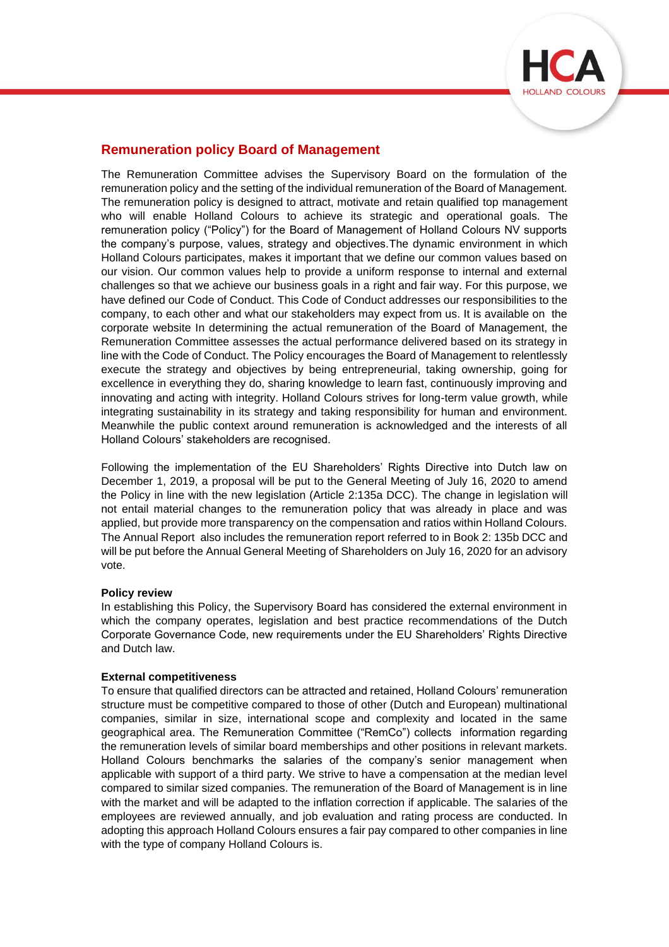

# **Remuneration policy Board of Management**

The Remuneration Committee advises the Supervisory Board on the formulation of the remuneration policy and the setting of the individual remuneration of the Board of Management. The remuneration policy is designed to attract, motivate and retain qualified top management who will enable Holland Colours to achieve its strategic and operational goals. The remuneration policy ("Policy") for the Board of Management of Holland Colours NV supports the company's purpose, values, strategy and objectives.The dynamic environment in which Holland Colours participates, makes it important that we define our common values based on our vision. Our common values help to provide a uniform response to internal and external challenges so that we achieve our business goals in a right and fair way. For this purpose, we have defined our Code of Conduct. This Code of Conduct addresses our responsibilities to the company, to each other and what our stakeholders may expect from us. It is available on the corporate website In determining the actual remuneration of the Board of Management, the Remuneration Committee assesses the actual performance delivered based on its strategy in line with the Code of Conduct. The Policy encourages the Board of Management to relentlessly execute the strategy and objectives by being entrepreneurial, taking ownership, going for excellence in everything they do, sharing knowledge to learn fast, continuously improving and innovating and acting with integrity. Holland Colours strives for long-term value growth, while integrating sustainability in its strategy and taking responsibility for human and environment. Meanwhile the public context around remuneration is acknowledged and the interests of all Holland Colours' stakeholders are recognised.

Following the implementation of the EU Shareholders' Rights Directive into Dutch law on December 1, 2019, a proposal will be put to the General Meeting of July 16, 2020 to amend the Policy in line with the new legislation (Article 2:135a DCC). The change in legislation will not entail material changes to the remuneration policy that was already in place and was applied, but provide more transparency on the compensation and ratios within Holland Colours. The Annual Report also includes the remuneration report referred to in Book 2: 135b DCC and will be put before the Annual General Meeting of Shareholders on July 16, 2020 for an advisory vote.

## **Policy review**

In establishing this Policy, the Supervisory Board has considered the external environment in which the company operates, legislation and best practice recommendations of the Dutch Corporate Governance Code, new requirements under the EU Shareholders' Rights Directive and Dutch law.

## **External competitiveness**

To ensure that qualified directors can be attracted and retained, Holland Colours' remuneration structure must be competitive compared to those of other (Dutch and European) multinational companies, similar in size, international scope and complexity and located in the same geographical area. The Remuneration Committee ("RemCo") collects information regarding the remuneration levels of similar board memberships and other positions in relevant markets. Holland Colours benchmarks the salaries of the company's senior management when applicable with support of a third party. We strive to have a compensation at the median level compared to similar sized companies. The remuneration of the Board of Management is in line with the market and will be adapted to the inflation correction if applicable. The salaries of the employees are reviewed annually, and job evaluation and rating process are conducted. In adopting this approach Holland Colours ensures a fair pay compared to other companies in line with the type of company Holland Colours is.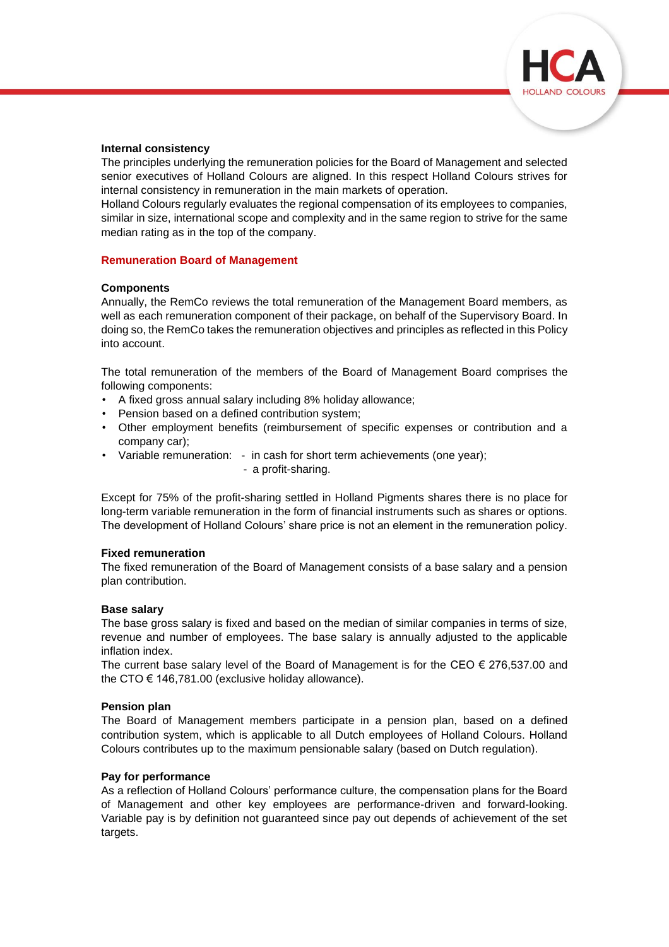

## **Internal consistency**

The principles underlying the remuneration policies for the Board of Management and selected senior executives of Holland Colours are aligned. In this respect Holland Colours strives for internal consistency in remuneration in the main markets of operation.

Holland Colours regularly evaluates the regional compensation of its employees to companies, similar in size, international scope and complexity and in the same region to strive for the same median rating as in the top of the company.

# **Remuneration Board of Management**

# **Components**

Annually, the RemCo reviews the total remuneration of the Management Board members, as well as each remuneration component of their package, on behalf of the Supervisory Board. In doing so, the RemCo takes the remuneration objectives and principles as reflected in this Policy into account.

The total remuneration of the members of the Board of Management Board comprises the following components:

- A fixed gross annual salary including 8% holiday allowance;
- Pension based on a defined contribution system;
- Other employment benefits (reimbursement of specific expenses or contribution and a company car);
- Variable remuneration: in cash for short term achievements (one year);
	- a profit-sharing.

Except for 75% of the profit-sharing settled in Holland Pigments shares there is no place for long-term variable remuneration in the form of financial instruments such as shares or options. The development of Holland Colours' share price is not an element in the remuneration policy.

## **Fixed remuneration**

The fixed remuneration of the Board of Management consists of a base salary and a pension plan contribution.

## **Base salary**

The base gross salary is fixed and based on the median of similar companies in terms of size, revenue and number of employees. The base salary is annually adjusted to the applicable inflation index.

The current base salary level of the Board of Management is for the CEO  $\epsilon$  276,537.00 and the CTO  $\epsilon$  146,781.00 (exclusive holiday allowance).

## **Pension plan**

The Board of Management members participate in a pension plan, based on a defined contribution system, which is applicable to all Dutch employees of Holland Colours. Holland Colours contributes up to the maximum pensionable salary (based on Dutch regulation).

## **Pay for performance**

As a reflection of Holland Colours' performance culture, the compensation plans for the Board of Management and other key employees are performance-driven and forward-looking. Variable pay is by definition not guaranteed since pay out depends of achievement of the set targets.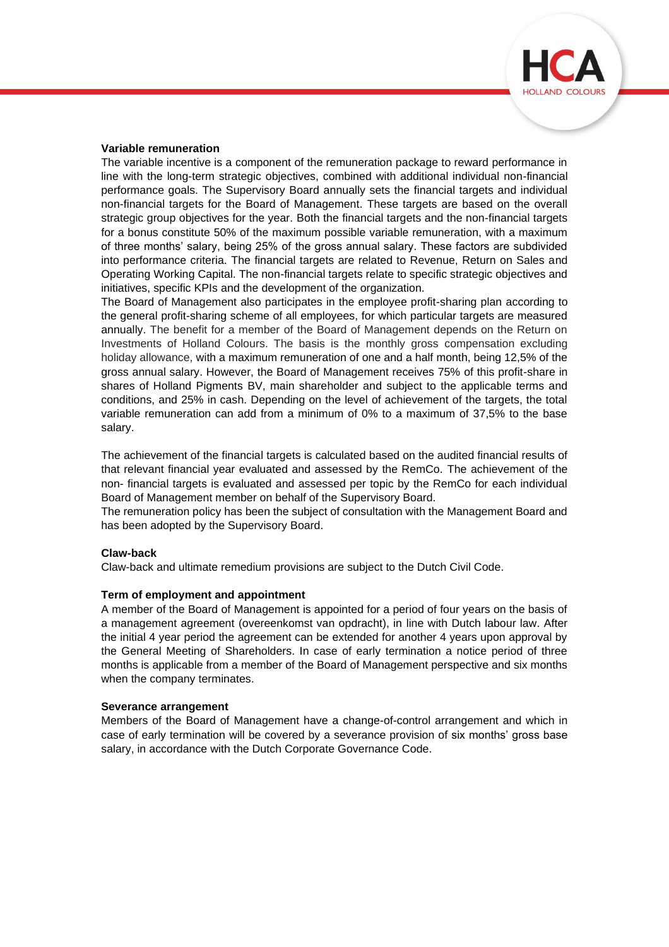

#### **Variable remuneration**

The variable incentive is a component of the remuneration package to reward performance in line with the long-term strategic objectives, combined with additional individual non-financial performance goals. The Supervisory Board annually sets the financial targets and individual non-financial targets for the Board of Management. These targets are based on the overall strategic group objectives for the year. Both the financial targets and the non-financial targets for a bonus constitute 50% of the maximum possible variable remuneration, with a maximum of three months' salary, being 25% of the gross annual salary. These factors are subdivided into performance criteria. The financial targets are related to Revenue, Return on Sales and Operating Working Capital. The non-financial targets relate to specific strategic objectives and initiatives, specific KPIs and the development of the organization.

The Board of Management also participates in the employee profit-sharing plan according to the general profit-sharing scheme of all employees, for which particular targets are measured annually. The benefit for a member of the Board of Management depends on the Return on Investments of Holland Colours. The basis is the monthly gross compensation excluding holiday allowance, with a maximum remuneration of one and a half month, being 12,5% of the gross annual salary. However, the Board of Management receives 75% of this profit-share in shares of Holland Pigments BV, main shareholder and subject to the applicable terms and conditions, and 25% in cash. Depending on the level of achievement of the targets, the total variable remuneration can add from a minimum of 0% to a maximum of 37,5% to the base salary.

The achievement of the financial targets is calculated based on the audited financial results of that relevant financial year evaluated and assessed by the RemCo. The achievement of the non- financial targets is evaluated and assessed per topic by the RemCo for each individual Board of Management member on behalf of the Supervisory Board.

The remuneration policy has been the subject of consultation with the Management Board and has been adopted by the Supervisory Board.

#### **Claw-back**

Claw-back and ultimate remedium provisions are subject to the Dutch Civil Code.

#### **Term of employment and appointment**

A member of the Board of Management is appointed for a period of four years on the basis of a management agreement (overeenkomst van opdracht), in line with Dutch labour law. After the initial 4 year period the agreement can be extended for another 4 years upon approval by the General Meeting of Shareholders. In case of early termination a notice period of three months is applicable from a member of the Board of Management perspective and six months when the company terminates.

#### **Severance arrangement**

Members of the Board of Management have a change-of-control arrangement and which in case of early termination will be covered by a severance provision of six months' gross base salary, in accordance with the Dutch Corporate Governance Code.